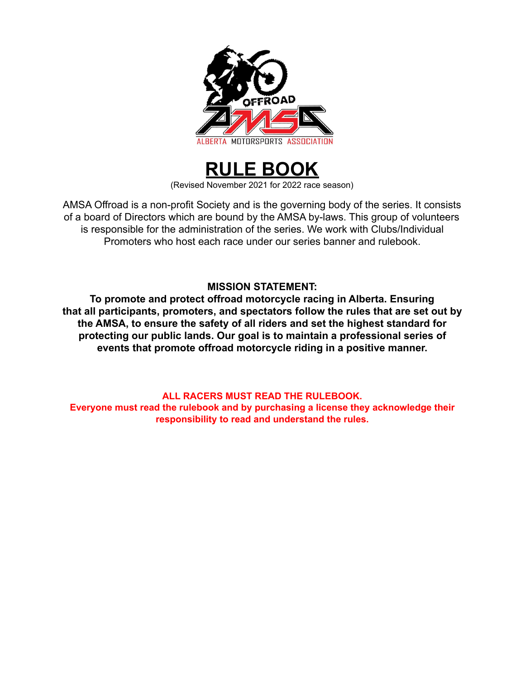



AMSA Offroad is a non-profit Society and is the governing body of the series. It consists of a board of Directors which are bound by the AMSA by-laws. This group of volunteers is responsible for the administration of the series. We work with Clubs/Individual Promoters who host each race under our series banner and rulebook.

## **MISSION STATEMENT:**

**To promote and protect offroad motorcycle racing in Alberta. Ensuring that all participants, promoters, and spectators follow the rules that are set out by the AMSA, to ensure the safety of all riders and set the highest standard for protecting our public lands. Our goal is to maintain a professional series of events that promote offroad motorcycle riding in a positive manner.**

## **ALL RACERS MUST READ THE RULEBOOK.**

**Everyone must read the rulebook and by purchasing a license they acknowledge their responsibility to read and understand the rules.**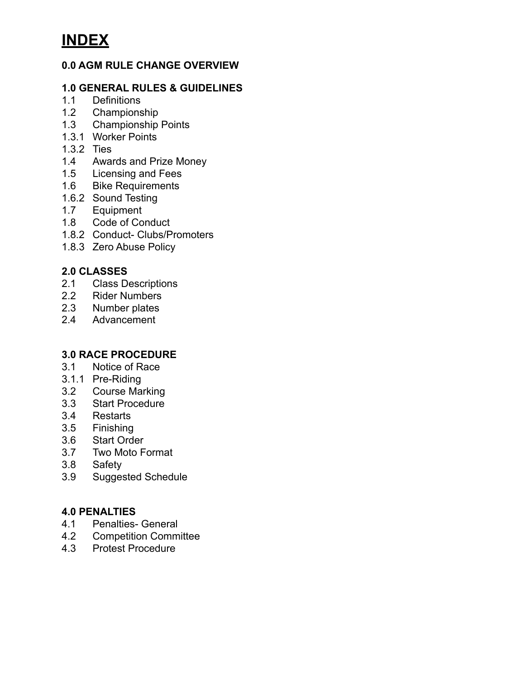## **0.0 AGM RULE CHANGE OVERVIEW**

## **1.0 GENERAL RULES & GUIDELINES**

- 1.1 Definitions
- 1.2 Championship<br>1.3 Championship
- Championship Points
- 1.3.1 Worker Points
- 1.3.2 Ties
- 1.4 Awards and Prize Money
- 1.5 Licensing and Fees<br>1.6 Bike Requirements
- **Bike Requirements**
- 1.6.2 Sound Testing
- 1.7 Equipment<br>1.8 Code of Co
- Code of Conduct
- 1.8.2 Conduct- Clubs/Promoters
- 1.8.3 Zero Abuse Policy

## **2.0 CLASSES**

- 2.1 Class Descriptions
- 2.2 Rider Numbers
- 2.3 Number plates
- 2.4 Advancement

### **3.0 RACE PROCEDURE**

- 3.1 Notice of Race
- 3.1.1 Pre-Riding
- 3.2 Course Marking<br>3.3 Start Procedure
- **Start Procedure**
- 3.4 Restarts
- 3.5 Finishing
- 3.6 Start Order
- 3.7 Two Moto Format
- 3.8 Safety
- 3.9 Suggested Schedule

### **4.0 PENALTIES**

- 4.1 Penalties- General
- 4.2 Competition Committee<br>4.3 Protest Procedure
- 4.3 Protest Procedure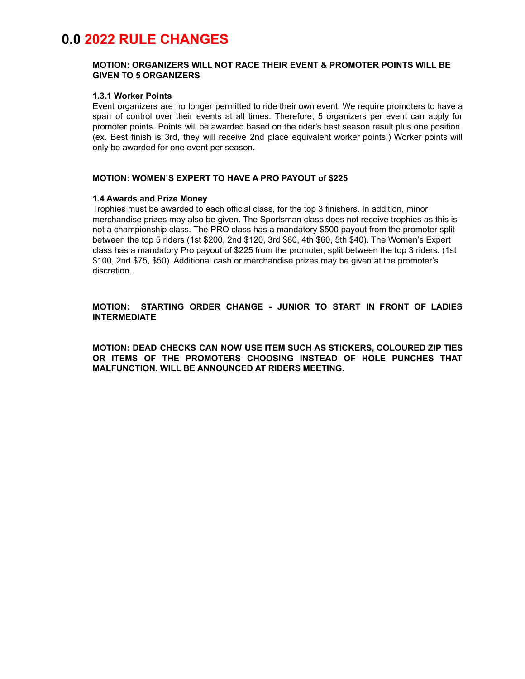# **0.0 2022 RULE CHANGES**

### **MOTION: ORGANIZERS WILL NOT RACE THEIR EVENT & PROMOTER POINTS WILL BE GIVEN TO 5 ORGANIZERS**

#### **1.3.1 Worker Points**

Event organizers are no longer permitted to ride their own event. We require promoters to have a span of control over their events at all times. Therefore; 5 organizers per event can apply for promoter points. Points will be awarded based on the rider's best season result plus one position. (ex. Best finish is 3rd, they will receive 2nd place equivalent worker points.) Worker points will only be awarded for one event per season.

#### **MOTION: WOMEN'S EXPERT TO HAVE A PRO PAYOUT of \$225**

#### **1.4 Awards and Prize Money**

Trophies must be awarded to each official class, for the top 3 finishers. In addition, minor merchandise prizes may also be given. The Sportsman class does not receive trophies as this is not a championship class. The PRO class has a mandatory \$500 payout from the promoter split between the top 5 riders (1st \$200, 2nd \$120, 3rd \$80, 4th \$60, 5th \$40). The Women's Expert class has a mandatory Pro payout of \$225 from the promoter, split between the top 3 riders. (1st \$100, 2nd \$75, \$50). Additional cash or merchandise prizes may be given at the promoter's discretion.

### **MOTION: STARTING ORDER CHANGE - JUNIOR TO START IN FRONT OF LADIES INTERMEDIATE**

**MOTION: DEAD CHECKS CAN NOW USE ITEM SUCH AS STICKERS, COLOURED ZIP TIES OR ITEMS OF THE PROMOTERS CHOOSING INSTEAD OF HOLE PUNCHES THAT MALFUNCTION. WILL BE ANNOUNCED AT RIDERS MEETING.**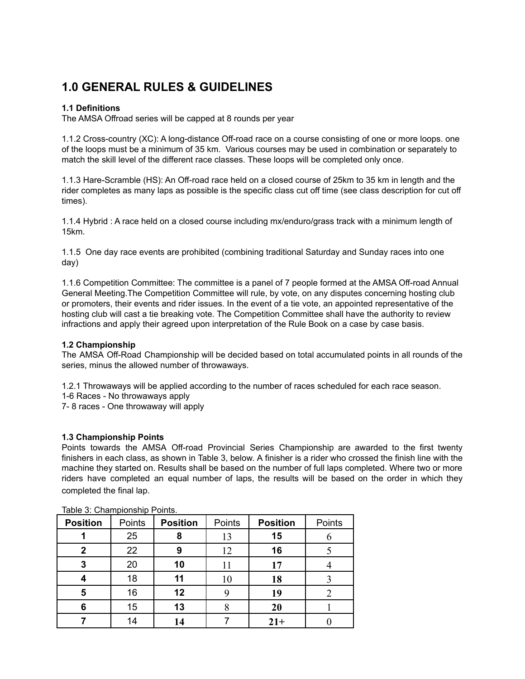# **1.0 GENERAL RULES & GUIDELINES**

### **1.1 Definitions**

The AMSA Offroad series will be capped at 8 rounds per year

1.1.2 Cross-country (XC): A long-distance Off-road race on a course consisting of one or more loops. one of the loops must be a minimum of 35 km. Various courses may be used in combination or separately to match the skill level of the different race classes. These loops will be completed only once.

1.1.3 Hare-Scramble (HS): An Off-road race held on a closed course of 25km to 35 km in length and the rider completes as many laps as possible is the specific class cut off time (see class description for cut off times).

1.1.4 Hybrid : A race held on a closed course including mx/enduro/grass track with a minimum length of 15km.

1.1.5 One day race events are prohibited (combining traditional Saturday and Sunday races into one day)

1.1.6 Competition Committee: The committee is a panel of 7 people formed at the AMSA Off-road Annual General Meeting.The Competition Committee will rule, by vote, on any disputes concerning hosting club or promoters, their events and rider issues. In the event of a tie vote, an appointed representative of the hosting club will cast a tie breaking vote. The Competition Committee shall have the authority to review infractions and apply their agreed upon interpretation of the Rule Book on a case by case basis.

### **1.2 Championship**

The AMSA Off-Road Championship will be decided based on total accumulated points in all rounds of the series, minus the allowed number of throwaways.

1.2.1 Throwaways will be applied according to the number of races scheduled for each race season.

1-6 Races - No throwaways apply

7- 8 races - One throwaway will apply

### **1.3 Championship Points**

Points towards the AMSA Off-road Provincial Series Championship are awarded to the first twenty finishers in each class, as shown in Table 3, below. A finisher is a rider who crossed the finish line with the machine they started on. Results shall be based on the number of full laps completed. Where two or more riders have completed an equal number of laps, the results will be based on the order in which they completed the final lap.

| <b>Position</b> | Points | <b>Position</b> | Points | <b>Position</b> | Points |
|-----------------|--------|-----------------|--------|-----------------|--------|
|                 | 25     | 8               | 13     | 15              |        |
| 2               | 22     | 9               | 12     | 16              |        |
| 3               | 20     | 10              | 11     | 17              |        |
|                 | 18     | 11              | 10     | 18              |        |
| 5               | 16     | 12              |        | 19              |        |
| 6               | 15     | 13              |        | <b>20</b>       |        |
|                 | 14     | 14              |        | $21+$           |        |

### Table 3: Championship Points.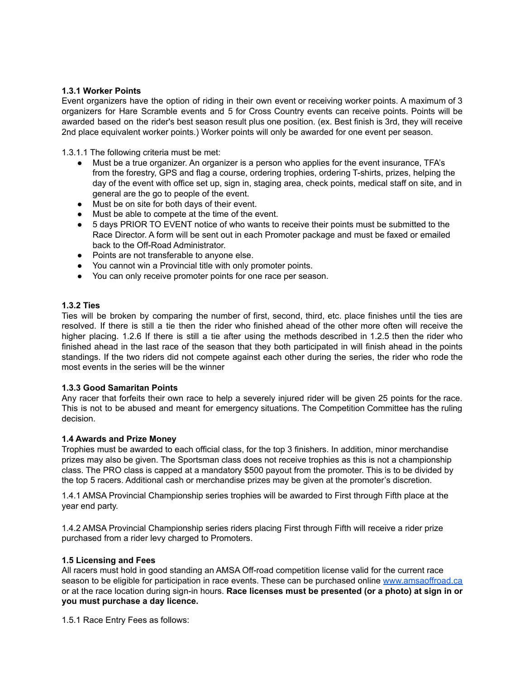### **1.3.1 Worker Points**

Event organizers have the option of riding in their own event or receiving worker points. A maximum of 3 organizers for Hare Scramble events and 5 for Cross Country events can receive points. Points will be awarded based on the rider's best season result plus one position. (ex. Best finish is 3rd, they will receive 2nd place equivalent worker points.) Worker points will only be awarded for one event per season.

1.3.1.1 The following criteria must be met:

- Must be a true organizer. An organizer is a person who applies for the event insurance, TFA's from the forestry, GPS and flag a course, ordering trophies, ordering T-shirts, prizes, helping the day of the event with office set up, sign in, staging area, check points, medical staff on site, and in general are the go to people of the event.
- Must be on site for both days of their event.
- Must be able to compete at the time of the event.
- 5 days PRIOR TO EVENT notice of who wants to receive their points must be submitted to the Race Director. A form will be sent out in each Promoter package and must be faxed or emailed back to the Off-Road Administrator.
- Points are not transferable to anyone else.
- You cannot win a Provincial title with only promoter points.
- You can only receive promoter points for one race per season.

### **1.3.2 Ties**

Ties will be broken by comparing the number of first, second, third, etc. place finishes until the ties are resolved. If there is still a tie then the rider who finished ahead of the other more often will receive the higher placing. 1.2.6 If there is still a tie after using the methods described in 1.2.5 then the rider who finished ahead in the last race of the season that they both participated in will finish ahead in the points standings. If the two riders did not compete against each other during the series, the rider who rode the most events in the series will be the winner

### **1.3.3 Good Samaritan Points**

Any racer that forfeits their own race to help a severely injured rider will be given 25 points for the race. This is not to be abused and meant for emergency situations. The Competition Committee has the ruling decision.

### **1.4 Awards and Prize Money**

Trophies must be awarded to each official class, for the top 3 finishers. In addition, minor merchandise prizes may also be given. The Sportsman class does not receive trophies as this is not a championship class. The PRO class is capped at a mandatory \$500 payout from the promoter. This is to be divided by the top 5 racers. Additional cash or merchandise prizes may be given at the promoter's discretion.

1.4.1 AMSA Provincial Championship series trophies will be awarded to First through Fifth place at the year end party.

1.4.2 AMSA Provincial Championship series riders placing First through Fifth will receive a rider prize purchased from a rider levy charged to Promoters.

### **1.5 Licensing and Fees**

All racers must hold in good standing an AMSA Off-road competition license valid for the current race season to be eligible for participation in race events. These can be purchased online [www.amsaoffroad.ca](http://www.amsaoffroad.ca) or at the race location during sign-in hours. **Race licenses must be presented (or a photo) at sign in or you must purchase a day licence.**

1.5.1 Race Entry Fees as follows: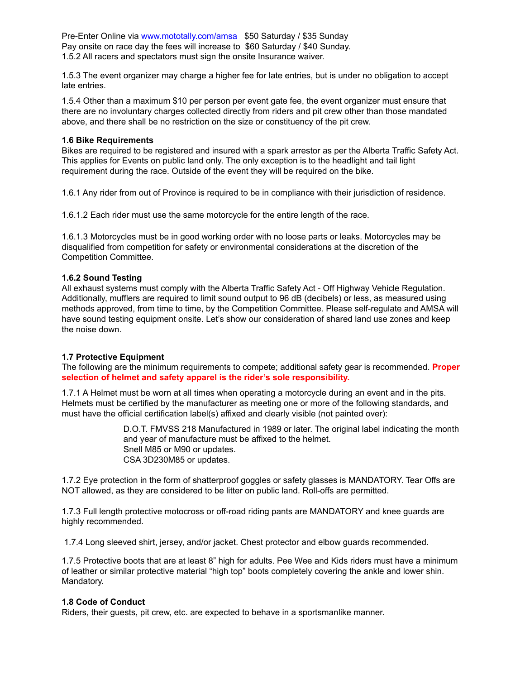Pre-Enter Online via www.mototally.com/amsa \$50 Saturday / \$35 Sunday Pay onsite on race day the fees will increase to \$60 Saturday / \$40 Sunday. 1.5.2 All racers and spectators must sign the onsite Insurance waiver.

1.5.3 The event organizer may charge a higher fee for late entries, but is under no obligation to accept late entries.

1.5.4 Other than a maximum \$10 per person per event gate fee, the event organizer must ensure that there are no involuntary charges collected directly from riders and pit crew other than those mandated above, and there shall be no restriction on the size or constituency of the pit crew.

#### **1.6 Bike Requirements**

Bikes are required to be registered and insured with a spark arrestor as per the Alberta Traffic Safety Act. This applies for Events on public land only. The only exception is to the headlight and tail light requirement during the race. Outside of the event they will be required on the bike.

1.6.1 Any rider from out of Province is required to be in compliance with their jurisdiction of residence.

1.6.1.2 Each rider must use the same motorcycle for the entire length of the race.

1.6.1.3 Motorcycles must be in good working order with no loose parts or leaks. Motorcycles may be disqualified from competition for safety or environmental considerations at the discretion of the Competition Committee.

#### **1.6.2 Sound Testing**

All exhaust systems must comply with the Alberta Traffic Safety Act - Off Highway Vehicle Regulation. Additionally, mufflers are required to limit sound output to 96 dB (decibels) or less, as measured using methods approved, from time to time, by the Competition Committee. Please self-regulate and AMSA will have sound testing equipment onsite. Let's show our consideration of shared land use zones and keep the noise down.

### **1.7 Protective Equipment**

The following are the minimum requirements to compete; additional safety gear is recommended. **Proper selection of helmet and safety apparel is the rider's sole responsibility.**

1.7.1 A Helmet must be worn at all times when operating a motorcycle during an event and in the pits. Helmets must be certified by the manufacturer as meeting one or more of the following standards, and must have the official certification label(s) affixed and clearly visible (not painted over):

> D.O.T. FMVSS 218 Manufactured in 1989 or later. The original label indicating the month and year of manufacture must be affixed to the helmet. Snell M85 or M90 or updates. CSA 3D230M85 or updates.

1.7.2 Eye protection in the form of shatterproof goggles or safety glasses is MANDATORY. Tear Offs are NOT allowed, as they are considered to be litter on public land. Roll-offs are permitted.

1.7.3 Full length protective motocross or off-road riding pants are MANDATORY and knee guards are highly recommended.

1.7.4 Long sleeved shirt, jersey, and/or jacket. Chest protector and elbow guards recommended.

1.7.5 Protective boots that are at least 8" high for adults. Pee Wee and Kids riders must have a minimum of leather or similar protective material "high top" boots completely covering the ankle and lower shin. Mandatory.

### **1.8 Code of Conduct**

Riders, their guests, pit crew, etc. are expected to behave in a sportsmanlike manner.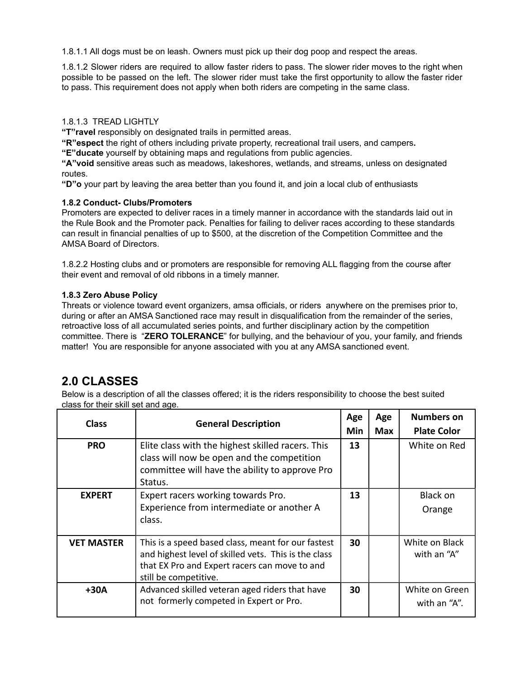1.8.1.1 All dogs must be on leash. Owners must pick up their dog poop and respect the areas.

1.8.1.2 Slower riders are required to allow faster riders to pass. The slower rider moves to the right when possible to be passed on the left. The slower rider must take the first opportunity to allow the faster rider to pass. This requirement does not apply when both riders are competing in the same class.

### 1.8.1.3 TREAD LIGHTLY

**"T"ravel** responsibly on designated trails in permitted areas.

**"R"espect** the right of others including private property, recreational trail users, and campers **.**

**"E"ducate** yourself by obtaining maps and regulations from public agencies.

**"A"void** sensitive areas such as meadows, lakeshores, wetlands, and streams, unless on designated routes.

**"D"o** your part by leaving the area better than you found it, and join a local club of enthusiasts

### **1.8.2 Conduct- Clubs/Promoters**

Promoters are expected to deliver races in a timely manner in accordance with the standards laid out in the Rule Book and the Promoter pack. Penalties for failing to deliver races according to these standards can result in financial penalties of up to \$500, at the discretion of the Competition Committee and the AMSA Board of Directors.

1.8.2.2 Hosting clubs and or promoters are responsible for removing ALL flagging from the course after their event and removal of old ribbons in a timely manner.

### **1.8.3 Zero Abuse Policy**

Threats or violence toward event organizers, amsa officials, or riders anywhere on the premises prior to, during or after an AMSA Sanctioned race may result in disqualification from the remainder of the series, retroactive loss of all accumulated series points, and further disciplinary action by the competition committee. There is "**ZERO TOLERANCE**" for bullying, and the behaviour of you, your family, and friends matter! You are responsible for anyone associated with you at any AMSA sanctioned event.

## **2.0 CLASSES**

Below is a description of all the classes offered; it is the riders responsibility to choose the best suited class for their skill set and age.

| <b>Class</b><br><b>General Description</b> |                                                                                                                                                                                      | Age        | Age        | <b>Numbers on</b>              |
|--------------------------------------------|--------------------------------------------------------------------------------------------------------------------------------------------------------------------------------------|------------|------------|--------------------------------|
|                                            |                                                                                                                                                                                      | <b>Min</b> | <b>Max</b> | <b>Plate Color</b>             |
| <b>PRO</b>                                 | Elite class with the highest skilled racers. This<br>class will now be open and the competition<br>committee will have the ability to approve Pro<br>Status.                         |            |            | White on Red                   |
| <b>EXPERT</b>                              | Expert racers working towards Pro.<br>Experience from intermediate or another A<br>class.                                                                                            | 13         |            | Black on<br>Orange             |
| <b>VET MASTER</b>                          | This is a speed based class, meant for our fastest<br>and highest level of skilled vets. This is the class<br>that EX Pro and Expert racers can move to and<br>still be competitive. | 30         |            | White on Black<br>with an "A"  |
| $+30A$                                     | Advanced skilled veteran aged riders that have<br>not formerly competed in Expert or Pro.                                                                                            | 30         |            | White on Green<br>with an "A". |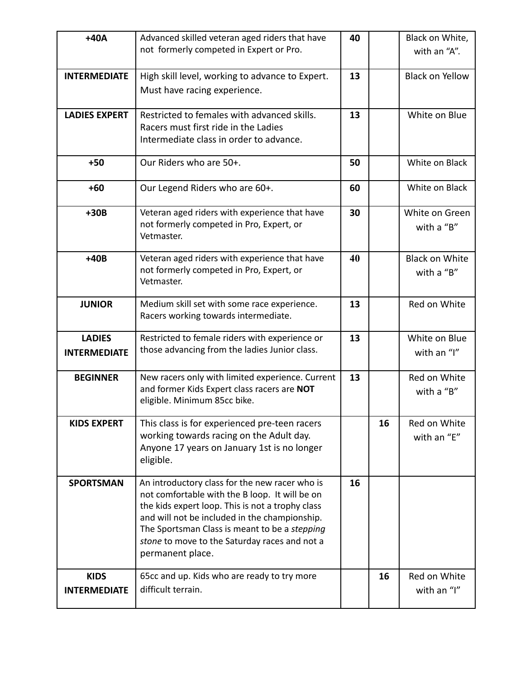| $+40A$                                                                      | Advanced skilled veteran aged riders that have<br>40                                                  |    |    | Black on White,              |
|-----------------------------------------------------------------------------|-------------------------------------------------------------------------------------------------------|----|----|------------------------------|
|                                                                             | not formerly competed in Expert or Pro.                                                               |    |    | with an "A".                 |
| <b>INTERMEDIATE</b>                                                         | High skill level, working to advance to Expert.                                                       | 13 |    | <b>Black on Yellow</b>       |
|                                                                             | Must have racing experience.                                                                          |    |    |                              |
| <b>LADIES EXPERT</b>                                                        | Restricted to females with advanced skills.                                                           | 13 |    | White on Blue                |
|                                                                             | Racers must first ride in the Ladies<br>Intermediate class in order to advance.                       |    |    |                              |
|                                                                             |                                                                                                       |    |    |                              |
| $+50$                                                                       | Our Riders who are 50+.                                                                               | 50 |    | White on Black               |
| $+60$                                                                       | Our Legend Riders who are 60+.                                                                        | 60 |    | White on Black               |
| $+30B$                                                                      | Veteran aged riders with experience that have<br>not formerly competed in Pro, Expert, or             | 30 |    | White on Green<br>with a "B" |
|                                                                             | Vetmaster.                                                                                            |    |    |                              |
| $+40B$                                                                      | Veteran aged riders with experience that have                                                         | 40 |    | <b>Black on White</b>        |
|                                                                             | not formerly competed in Pro, Expert, or<br>Vetmaster.                                                |    |    | with a "B"                   |
| <b>JUNIOR</b>                                                               | Medium skill set with some race experience.<br>Racers working towards intermediate.                   | 13 |    | Red on White                 |
|                                                                             |                                                                                                       |    |    |                              |
| <b>LADIES</b>                                                               | Restricted to female riders with experience or<br>13<br>those advancing from the ladies Junior class. |    |    | White on Blue<br>with an "I" |
| <b>INTERMEDIATE</b>                                                         |                                                                                                       |    |    |                              |
| New racers only with limited experience. Current<br><b>BEGINNER</b>         |                                                                                                       | 13 |    | Red on White                 |
| and former Kids Expert class racers are NOT<br>eligible. Minimum 85cc bike. |                                                                                                       |    |    | with a "B"                   |
|                                                                             |                                                                                                       |    |    |                              |
| <b>KIDS EXPERT</b>                                                          | This class is for experienced pre-teen racers<br>working towards racing on the Adult day.             |    | 16 | Red on White<br>with an "E"  |
|                                                                             | Anyone 17 years on January 1st is no longer                                                           |    |    |                              |
|                                                                             | eligible.                                                                                             |    |    |                              |
| <b>SPORTSMAN</b>                                                            | An introductory class for the new racer who is                                                        | 16 |    |                              |
|                                                                             | not comfortable with the B loop. It will be on<br>the kids expert loop. This is not a trophy class    |    |    |                              |
|                                                                             | and will not be included in the championship.                                                         |    |    |                              |
|                                                                             | The Sportsman Class is meant to be a stepping<br>stone to move to the Saturday races and not a        |    |    |                              |
|                                                                             | permanent place.                                                                                      |    |    |                              |
| <b>KIDS</b>                                                                 | 65cc and up. Kids who are ready to try more                                                           |    | 16 | Red on White                 |
| <b>INTERMEDIATE</b>                                                         | difficult terrain.                                                                                    |    |    | with an "I"                  |
|                                                                             |                                                                                                       |    |    |                              |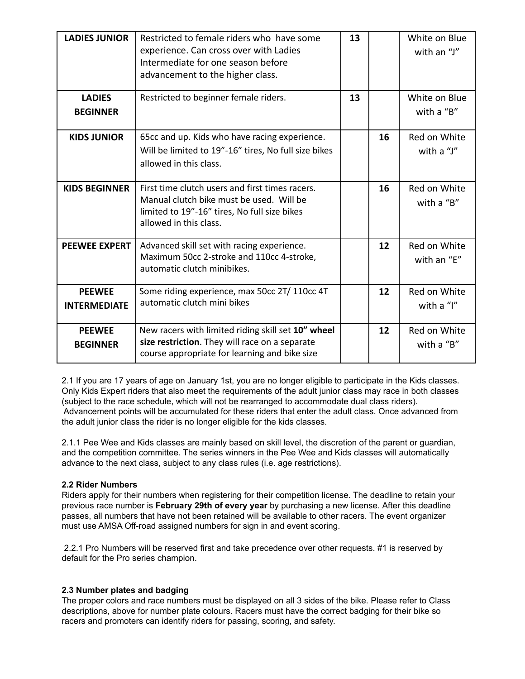| <b>LADIES JUNIOR</b>                 | Restricted to female riders who have some<br>experience. Can cross over with Ladies<br>Intermediate for one season before<br>advancement to the higher class.         | 13 |                            | White on Blue<br>with an "J" |
|--------------------------------------|-----------------------------------------------------------------------------------------------------------------------------------------------------------------------|----|----------------------------|------------------------------|
| <b>LADIES</b><br><b>BEGINNER</b>     | Restricted to beginner female riders.                                                                                                                                 | 13 |                            | White on Blue<br>with a "B"  |
| <b>KIDS JUNIOR</b>                   | 65cc and up. Kids who have racing experience.<br>Will be limited to 19"-16" tires, No full size bikes<br>allowed in this class.                                       | 16 |                            | Red on White<br>with a "J"   |
| <b>KIDS BEGINNER</b>                 | First time clutch users and first times racers.<br>Manual clutch bike must be used. Will be<br>limited to 19"-16" tires, No full size bikes<br>allowed in this class. | 16 |                            | Red on White<br>with a "B"   |
| <b>PEEWEE EXPERT</b>                 | Advanced skill set with racing experience.<br>Maximum 50cc 2-stroke and 110cc 4-stroke,<br>automatic clutch minibikes.                                                |    | 12                         | Red on White<br>with an "E"  |
| <b>PEEWEE</b><br><b>INTERMEDIATE</b> | Some riding experience, max 50cc 2T/ 110cc 4T<br>automatic clutch mini bikes                                                                                          | 12 |                            | Red on White<br>with a "I"   |
| <b>PEEWEE</b><br><b>BEGINNER</b>     | New racers with limited riding skill set 10" wheel<br>12<br>size restriction. They will race on a separate<br>course appropriate for learning and bike size           |    | Red on White<br>with a "B" |                              |

2.1 If you are 17 years of age on January 1st, you are no longer eligible to participate in the Kids classes. Only Kids Expert riders that also meet the requirements of the adult junior class may race in both classes (subject to the race schedule, which will not be rearranged to accommodate dual class riders). Advancement points will be accumulated for these riders that enter the adult class. Once advanced from the adult junior class the rider is no longer eligible for the kids classes.

2.1.1 Pee Wee and Kids classes are mainly based on skill level, the discretion of the parent or guardian, and the competition committee. The series winners in the Pee Wee and Kids classes will automatically advance to the next class, subject to any class rules (i.e. age restrictions).

### **2.2 Rider Numbers**

Riders apply for their numbers when registering for their competition license. The deadline to retain your previous race number is **February 29th of every year** by purchasing a new license. After this deadline passes, all numbers that have not been retained will be available to other racers. The event organizer must use AMSA Off-road assigned numbers for sign in and event scoring.

2.2.1 Pro Numbers will be reserved first and take precedence over other requests. #1 is reserved by default for the Pro series champion.

### **2.3 Number plates and badging**

The proper colors and race numbers must be displayed on all 3 sides of the bike. Please refer to Class descriptions, above for number plate colours. Racers must have the correct badging for their bike so racers and promoters can identify riders for passing, scoring, and safety.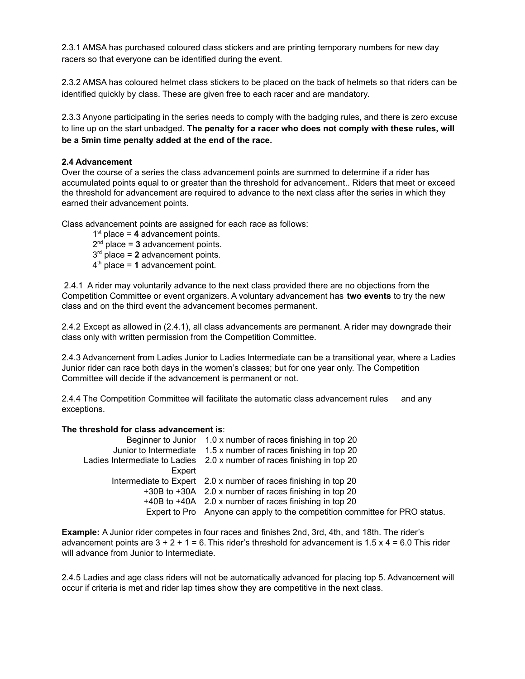2.3.1 AMSA has purchased coloured class stickers and are printing temporary numbers for new day racers so that everyone can be identified during the event.

2.3.2 AMSA has coloured helmet class stickers to be placed on the back of helmets so that riders can be identified quickly by class. These are given free to each racer and are mandatory.

2.3.3 Anyone participating in the series needs to comply with the badging rules, and there is zero excuse to line up on the start unbadged. **The penalty for a racer who does not comply with these rules, will be a 5min time penalty added at the end of the race.**

### **2.4 Advancement**

Over the course of a series the class advancement points are summed to determine if a rider has accumulated points equal to or greater than the threshold for advancement.. Riders that meet or exceed the threshold for advancement are required to advance to the next class after the series in which they earned their advancement points.

Class advancement points are assigned for each race as follows:

 $1<sup>st</sup>$  place = 4 advancement points.

 $2<sup>nd</sup>$  place = 3 advancement points.

 $3<sup>rd</sup>$  place = 2 advancement points.

 $4<sup>th</sup>$  place = 1 advancement point.

2.4.1 A rider may voluntarily advance to the next class provided there are no objections from the Competition Committee or event organizers. A voluntary advancement has **two events** to try the new class and on the third event the advancement becomes permanent.

2.4.2 Except as allowed in (2.4.1), all class advancements are permanent. A rider may downgrade their class only with written permission from the Competition Committee.

2.4.3 Advancement from Ladies Junior to Ladies Intermediate can be a transitional year, where a Ladies Junior rider can race both days in the women's classes; but for one year only. The Competition Committee will decide if the advancement is permanent or not.

2.4.4 The Competition Committee will facilitate the automatic class advancement rules and any exceptions.

### **The threshold for class advancement is**:

| Beginner to Junior 1.0 x number of races finishing in top 20                |
|-----------------------------------------------------------------------------|
| Junior to Intermediate 1.5 x number of races finishing in top 20            |
| Ladies Intermediate to Ladies 2.0 x number of races finishing in top 20     |
|                                                                             |
| Intermediate to Expert 2.0 x number of races finishing in top 20            |
| +30B to +30A 2.0 x number of races finishing in top 20                      |
| +40B to +40A 2.0 x number of races finishing in top 20                      |
| Expert to Pro Anyone can apply to the competition committee for PRO status. |
|                                                                             |

**Example:** A Junior rider competes in four races and finishes 2nd, 3rd, 4th, and 18th. The rider's advancement points are  $3 + 2 + 1 = 6$ . This rider's threshold for advancement is 1.5 x 4 = 6.0 This rider will advance from Junior to Intermediate.

2.4.5 Ladies and age class riders will not be automatically advanced for placing top 5. Advancement will occur if criteria is met and rider lap times show they are competitive in the next class.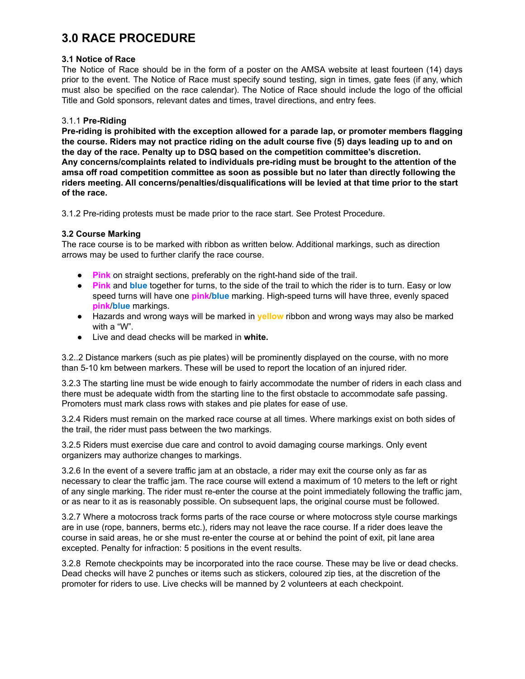# **3.0 RACE PROCEDURE**

### **3.1 Notice of Race**

The Notice of Race should be in the form of a poster on the AMSA website at least fourteen (14) days prior to the event. The Notice of Race must specify sound testing, sign in times, gate fees (if any, which must also be specified on the race calendar). The Notice of Race should include the logo of the official Title and Gold sponsors, relevant dates and times, travel directions, and entry fees.

### 3.1.1 **Pre-Riding**

**Pre-riding is prohibited with the exception allowed for a parade lap, or promoter members flagging the course. Riders may not practice riding on the adult course five (5) days leading up to and on the day of the race. Penalty up to DSQ based on the competition committee's discretion. Any concerns/complaints related to individuals pre-riding must be brought to the attention of the amsa off road competition committee as soon as possible but no later than directly following the riders meeting. All concerns/penalties/disqualifications will be levied at that time prior to the start of the race.**

3.1.2 Pre-riding protests must be made prior to the race start. See Protest Procedure.

### **3.2 Course Marking**

The race course is to be marked with ribbon as written below. Additional markings, such as direction arrows may be used to further clarify the race course.

- **Pink** on straight sections, preferably on the right-hand side of the trail.
- **Pink** and **blue** together for turns, to the side of the trail to which the rider is to turn. Easy or low speed turns will have one **pink**/ **blue** marking. High-speed turns will have three, evenly spaced **pink/blue** markings.
- Hazards and wrong ways will be marked in **yellow** ribbon and wrong ways may also be marked with a "W".
- Live and dead checks will be marked in **white.**

3.2..2 Distance markers (such as pie plates) will be prominently displayed on the course, with no more than 5-10 km between markers. These will be used to report the location of an injured rider.

3.2.3 The starting line must be wide enough to fairly accommodate the number of riders in each class and there must be adequate width from the starting line to the first obstacle to accommodate safe passing. Promoters must mark class rows with stakes and pie plates for ease of use.

3.2.4 Riders must remain on the marked race course at all times. Where markings exist on both sides of the trail, the rider must pass between the two markings.

3.2.5 Riders must exercise due care and control to avoid damaging course markings. Only event organizers may authorize changes to markings.

3.2.6 In the event of a severe traffic jam at an obstacle, a rider may exit the course only as far as necessary to clear the traffic jam. The race course will extend a maximum of 10 meters to the left or right of any single marking. The rider must re-enter the course at the point immediately following the traffic jam, or as near to it as is reasonably possible. On subsequent laps, the original course must be followed.

3.2.7 Where a motocross track forms parts of the race course or where motocross style course markings are in use (rope, banners, berms etc.), riders may not leave the race course. If a rider does leave the course in said areas, he or she must re-enter the course at or behind the point of exit, pit lane area excepted. Penalty for infraction: 5 positions in the event results.

3.2.8 Remote checkpoints may be incorporated into the race course. These may be live or dead checks. Dead checks will have 2 punches or items such as stickers, coloured zip ties, at the discretion of the promoter for riders to use. Live checks will be manned by 2 volunteers at each checkpoint.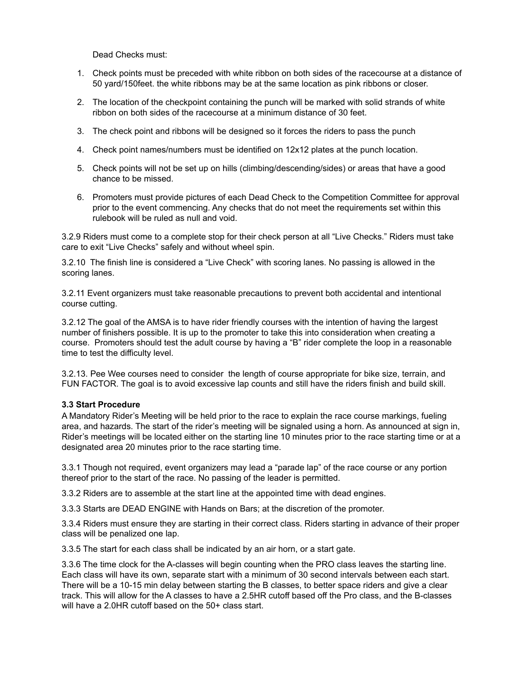Dead Checks must:

- 1. Check points must be preceded with white ribbon on both sides of the racecourse at a distance of 50 yard/150feet. the white ribbons may be at the same location as pink ribbons or closer.
- 2. The location of the checkpoint containing the punch will be marked with solid strands of white ribbon on both sides of the racecourse at a minimum distance of 30 feet.
- 3. The check point and ribbons will be designed so it forces the riders to pass the punch
- 4. Check point names/numbers must be identified on 12x12 plates at the punch location.
- 5. Check points will not be set up on hills (climbing/descending/sides) or areas that have a good chance to be missed.
- 6. Promoters must provide pictures of each Dead Check to the Competition Committee for approval prior to the event commencing. Any checks that do not meet the requirements set within this rulebook will be ruled as null and void.

3.2.9 Riders must come to a complete stop for their check person at all "Live Checks." Riders must take care to exit "Live Checks" safely and without wheel spin.

3.2.10 The finish line is considered a "Live Check" with scoring lanes. No passing is allowed in the scoring lanes.

3.2.11 Event organizers must take reasonable precautions to prevent both accidental and intentional course cutting.

3.2.12 The goal of the AMSA is to have rider friendly courses with the intention of having the largest number of finishers possible. It is up to the promoter to take this into consideration when creating a course. Promoters should test the adult course by having a "B" rider complete the loop in a reasonable time to test the difficulty level.

3.2.13. Pee Wee courses need to consider the length of course appropriate for bike size, terrain, and FUN FACTOR. The goal is to avoid excessive lap counts and still have the riders finish and build skill.

### **3.3 Start Procedure**

A Mandatory Rider's Meeting will be held prior to the race to explain the race course markings, fueling area, and hazards. The start of the rider's meeting will be signaled using a horn. As announced at sign in, Rider's meetings will be located either on the starting line 10 minutes prior to the race starting time or at a designated area 20 minutes prior to the race starting time.

3.3.1 Though not required, event organizers may lead a "parade lap" of the race course or any portion thereof prior to the start of the race. No passing of the leader is permitted.

3.3.2 Riders are to assemble at the start line at the appointed time with dead engines.

3.3.3 Starts are DEAD ENGINE with Hands on Bars; at the discretion of the promoter.

3.3.4 Riders must ensure they are starting in their correct class. Riders starting in advance of their proper class will be penalized one lap.

3.3.5 The start for each class shall be indicated by an air horn, or a start gate.

3.3.6 The time clock for the A-classes will begin counting when the PRO class leaves the starting line. Each class will have its own, separate start with a minimum of 30 second intervals between each start. There will be a 10-15 min delay between starting the B classes, to better space riders and give a clear track. This will allow for the A classes to have a 2.5HR cutoff based off the Pro class, and the B-classes will have a 2.0HR cutoff based on the 50+ class start.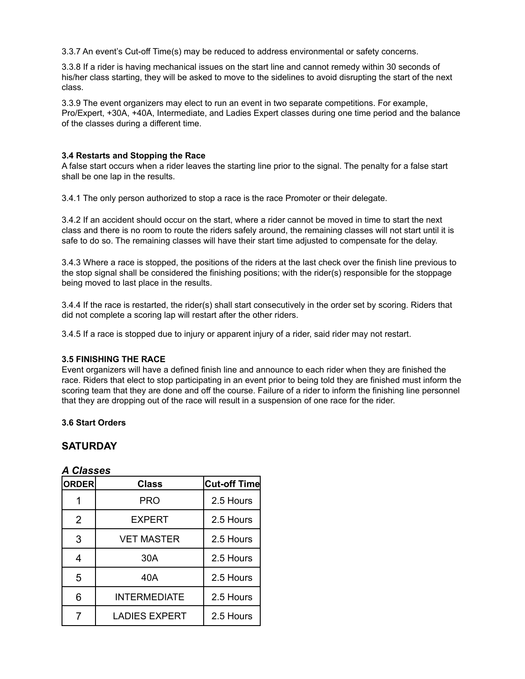3.3.7 An event's Cut-off Time(s) may be reduced to address environmental or safety concerns.

3.3.8 If a rider is having mechanical issues on the start line and cannot remedy within 30 seconds of his/her class starting, they will be asked to move to the sidelines to avoid disrupting the start of the next class.

3.3.9 The event organizers may elect to run an event in two separate competitions. For example, Pro/Expert, +30A, +40A, Intermediate, and Ladies Expert classes during one time period and the balance of the classes during a different time.

### **3.4 Restarts and Stopping the Race**

A false start occurs when a rider leaves the starting line prior to the signal. The penalty for a false start shall be one lap in the results.

3.4.1 The only person authorized to stop a race is the race Promoter or their delegate.

3.4.2 If an accident should occur on the start, where a rider cannot be moved in time to start the next class and there is no room to route the riders safely around, the remaining classes will not start until it is safe to do so. The remaining classes will have their start time adjusted to compensate for the delay.

3.4.3 Where a race is stopped, the positions of the riders at the last check over the finish line previous to the stop signal shall be considered the finishing positions; with the rider(s) responsible for the stoppage being moved to last place in the results.

3.4.4 If the race is restarted, the rider(s) shall start consecutively in the order set by scoring. Riders that did not complete a scoring lap will restart after the other riders.

3.4.5 If a race is stopped due to injury or apparent injury of a rider, said rider may not restart.

### **3.5 FINISHING THE RACE**

Event organizers will have a defined finish line and announce to each rider when they are finished the race. Riders that elect to stop participating in an event prior to being told they are finished must inform the scoring team that they are done and off the course. Failure of a rider to inform the finishing line personnel that they are dropping out of the race will result in a suspension of one race for the rider.

### **3.6 Start Orders**

### **SATURDAY**

| <b>A Classes</b> |  |
|------------------|--|
|                  |  |

| <b>ORDER</b>   | <b>Class</b>         | <b>Cut-off Time</b> |
|----------------|----------------------|---------------------|
|                | <b>PRO</b>           | 2.5 Hours           |
| $\overline{2}$ | <b>EXPERT</b>        | 2.5 Hours           |
| 3              | <b>VET MASTER</b>    | 2.5 Hours           |
| 4              | 30A                  | 2.5 Hours           |
| 5              | 40A                  | 2.5 Hours           |
| 6              | <b>INTERMEDIATE</b>  | 2.5 Hours           |
|                | <b>LADIES EXPERT</b> | 2.5 Hours           |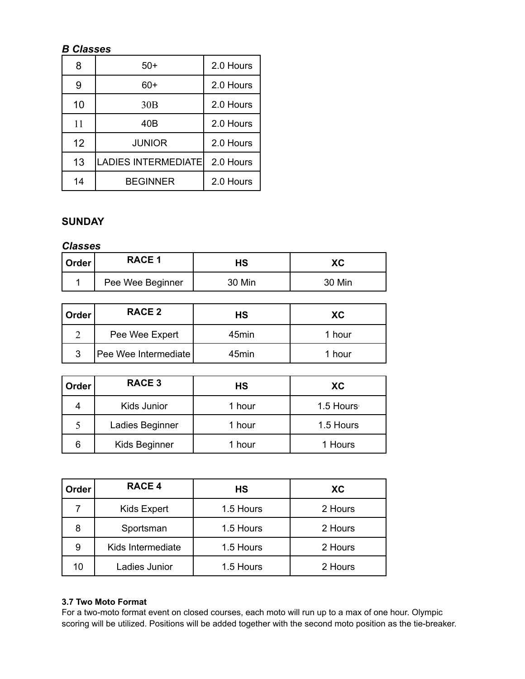## *B Classes*

| 8  | $50+$                      | 2.0 Hours |
|----|----------------------------|-----------|
| 9  | 60+                        | 2.0 Hours |
| 10 | 30B                        | 2.0 Hours |
| 11 | 40B                        | 2.0 Hours |
| 12 | <b>JUNIOR</b>              | 2.0 Hours |
| 13 | <b>LADIES INTERMEDIATE</b> | 2.0 Hours |
| 14 | <b>BEGINNER</b>            | 2.0 Hours |

### **SUNDAY**

### *Classes*

| Order | <b>RACE 1</b>    | нs     | ХC     |
|-------|------------------|--------|--------|
|       | Pee Wee Beginner | 30 Min | 30 Min |

| Order | RACE 2               | НS                | XC.    |
|-------|----------------------|-------------------|--------|
|       | Pee Wee Expert       | 45min             | 1 hour |
| 3     | Pee Wee Intermediate | 45 <sub>min</sub> | 1 hour |

| Order | <b>RACE 3</b>   | НS     | XC        |
|-------|-----------------|--------|-----------|
| 4     | Kids Junior     | 1 hour | 1.5 Hours |
|       | Ladies Beginner | 1 hour | 1.5 Hours |
| 6     | Kids Beginner   | 1 hour | 1 Hours   |

| Order | <b>RACE 4</b>     | НS        | XC.     |
|-------|-------------------|-----------|---------|
|       | Kids Expert       | 1.5 Hours | 2 Hours |
| 8     | Sportsman         | 1.5 Hours | 2 Hours |
| 9     | Kids Intermediate | 1.5 Hours | 2 Hours |
| 10    | Ladies Junior     | 1.5 Hours | 2 Hours |

### **3.7 Two Moto Format**

For a two-moto format event on closed courses, each moto will run up to a max of one hour. Olympic scoring will be utilized. Positions will be added together with the second moto position as the tie-breaker.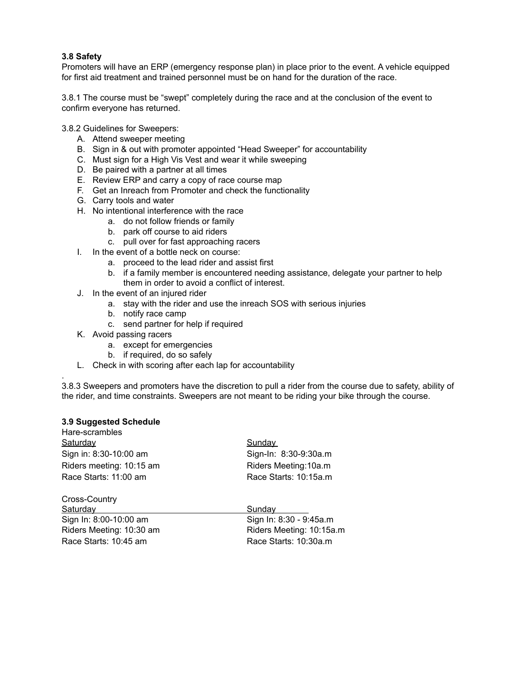### **3.8 Safety**

Promoters will have an ERP (emergency response plan) in place prior to the event. A vehicle equipped for first aid treatment and trained personnel must be on hand for the duration of the race.

3.8.1 The course must be "swept" completely during the race and at the conclusion of the event to confirm everyone has returned.

3.8.2 Guidelines for Sweepers:

- A. Attend sweeper meeting
- B. Sign in & out with promoter appointed "Head Sweeper" for accountability
- C. Must sign for a High Vis Vest and wear it while sweeping
- D. Be paired with a partner at all times
- E. Review ERP and carry a copy of race course map
- F. Get an Inreach from Promoter and check the functionality
- G. Carry tools and water
- H. No intentional interference with the race
	- a. do not follow friends or family
	- b. park off course to aid riders
	- c. pull over for fast approaching racers
- I. In the event of a bottle neck on course:
	- a. proceed to the lead rider and assist first
	- b. if a family member is encountered needing assistance, delegate your partner to help them in order to avoid a conflict of interest.
- J. In the event of an injured rider
	- a. stay with the rider and use the inreach SOS with serious injuries
	- b. notify race camp
	- c. send partner for help if required
- K. Avoid passing racers
	- a. except for emergencies
	- b. if required, do so safely
- L. Check in with scoring after each lap for accountability

. 3.8.3 Sweepers and promoters have the discretion to pull a rider from the course due to safety, ability of the rider, and time constraints. Sweepers are not meant to be riding your bike through the course.

### **3.9 Suggested Schedule**

| Hare-scrambles           |                          |
|--------------------------|--------------------------|
| Saturday                 | Sunday                   |
| Sign in: 8:30-10:00 am   | Sign-In: 8:30-9:30a.m    |
| Riders meeting: 10:15 am | Riders Meeting: 10a.m    |
| Race Starts: 11:00 am    | Race Starts: 10:15a.m    |
| Cross-Country            |                          |
| <b>Saturdav</b>          | Sundav                   |
| Sign In: 8:00-10:00 am   | Sign In: 8:30 - 9:45a.m  |
| Riders Meeting: 10:30 am | Riders Meeting: 10:15a.m |
| Race Starts: 10:45 am    | Race Starts: 10:30a.m    |
|                          |                          |